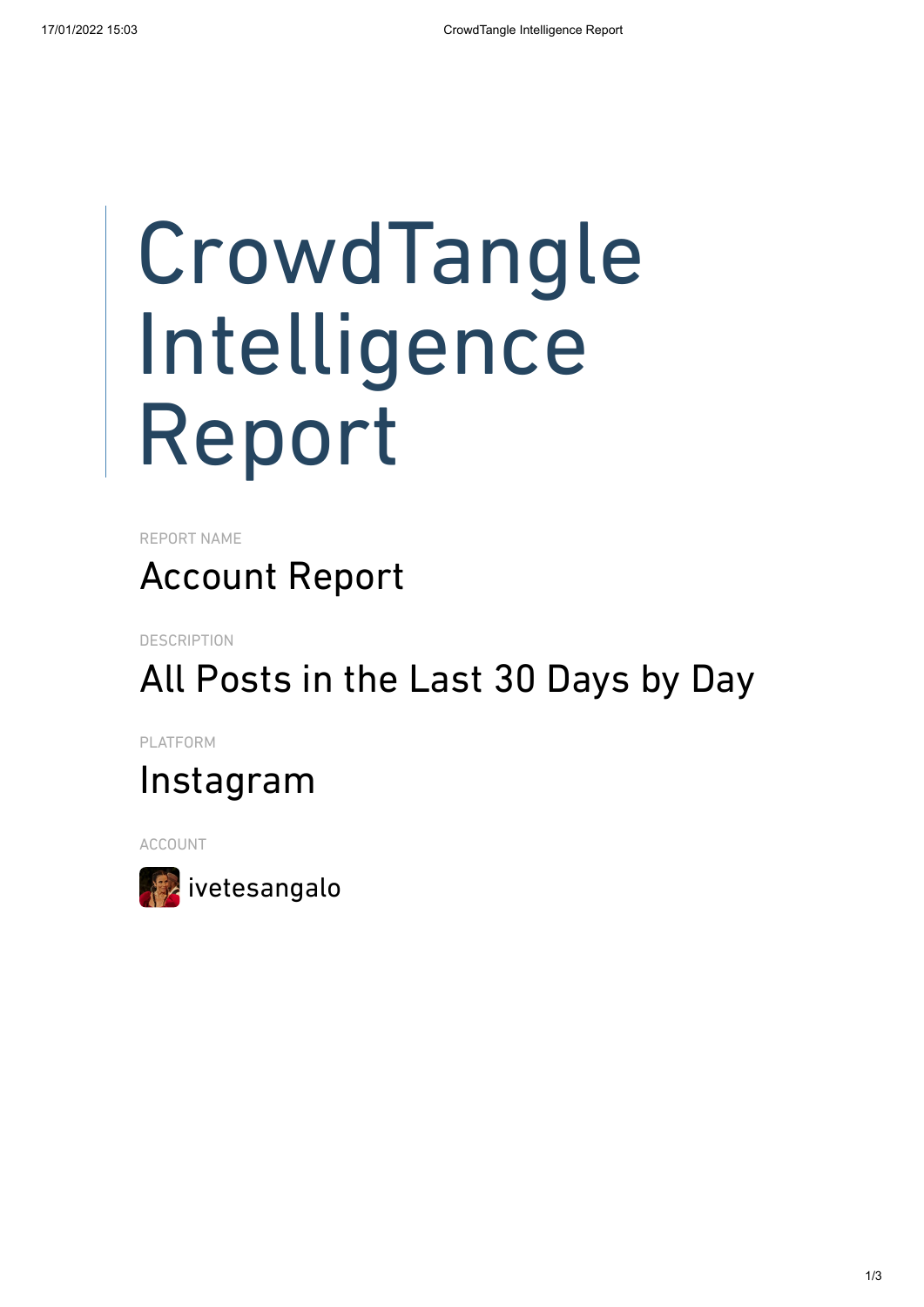## CrowdTangle Intelligence Report

REPORT NAME

## Account Report

**DESCRIPTION** 

## All Posts in the Last 30 Days by Day

PLATFORM

## Instagram

ACCOUNT

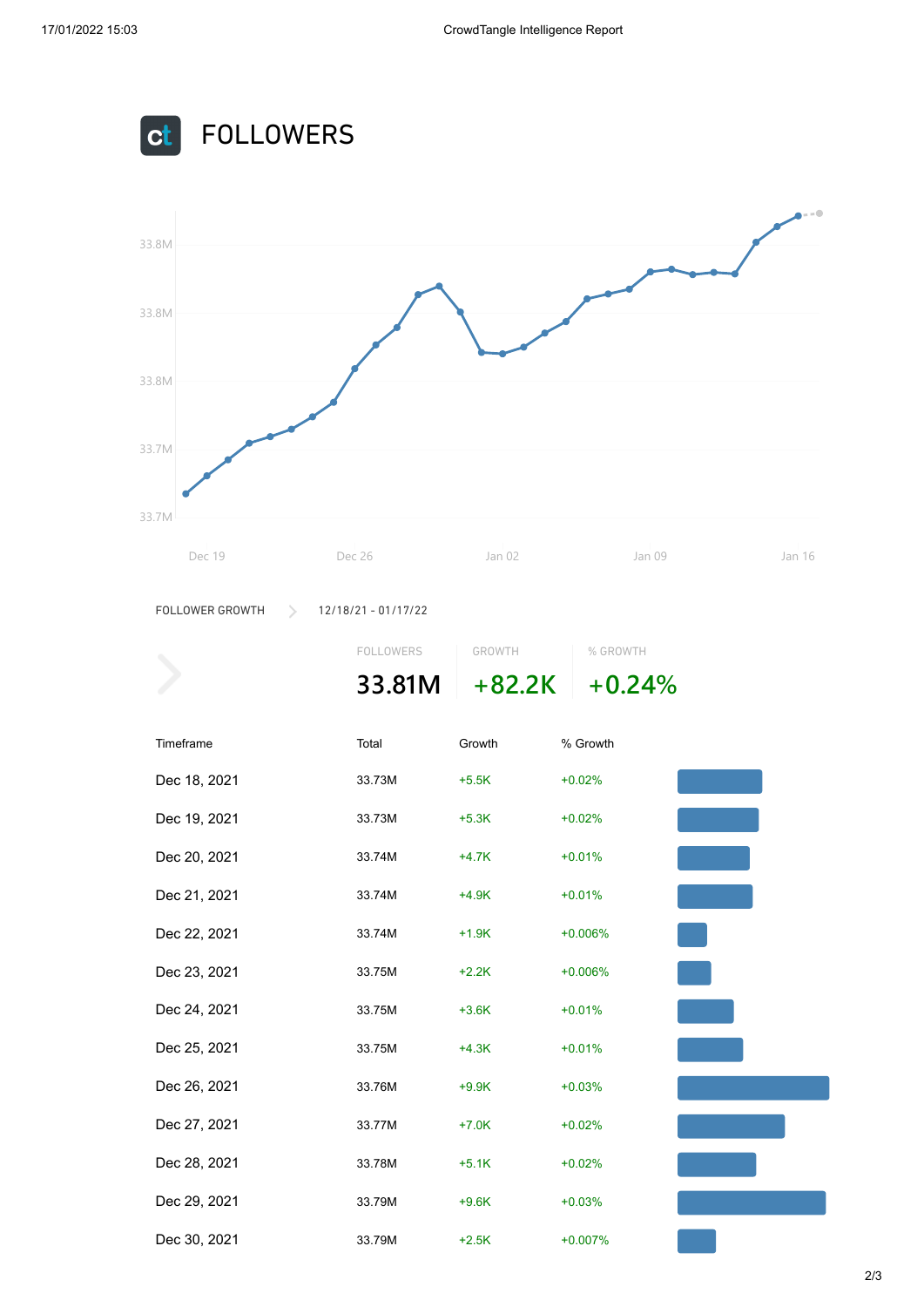

ct FOLLOWERS



FOLLOWER GROWTH > 12/18/21 - 01/17/22

|              | FOLLOWERS | GROWTH   | % GROWTH  |  |
|--------------|-----------|----------|-----------|--|
|              | 33.81M    | $+82.2K$ | $+0.24%$  |  |
| Timeframe    | Total     | Growth   | % Growth  |  |
| Dec 18, 2021 | 33.73M    | $+5.5K$  | $+0.02%$  |  |
| Dec 19, 2021 | 33.73M    | $+5.3K$  | $+0.02%$  |  |
| Dec 20, 2021 | 33.74M    | $+4.7K$  | $+0.01%$  |  |
| Dec 21, 2021 | 33.74M    | $+4.9K$  | $+0.01%$  |  |
| Dec 22, 2021 | 33.74M    | $+1.9K$  | $+0.006%$ |  |
| Dec 23, 2021 | 33.75M    | $+2.2K$  | $+0.006%$ |  |
| Dec 24, 2021 | 33.75M    | $+3.6K$  | $+0.01%$  |  |
| Dec 25, 2021 | 33.75M    | $+4.3K$  | $+0.01%$  |  |
| Dec 26, 2021 | 33.76M    | $+9.9K$  | $+0.03%$  |  |
| Dec 27, 2021 | 33.77M    | $+7.0K$  | $+0.02%$  |  |
| Dec 28, 2021 | 33.78M    | $+5.1K$  | $+0.02%$  |  |
| Dec 29, 2021 | 33.79M    | $+9.6K$  | $+0.03%$  |  |
| Dec 30, 2021 | 33.79M    | $+2.5K$  | $+0.007%$ |  |